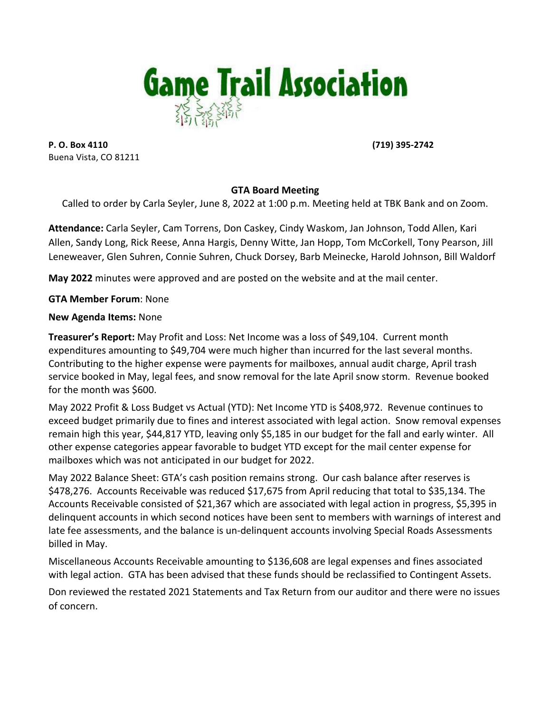

**P. O. Box 4110 (719)** 395-2742 Buena Vista, CO 81211

## **GTA Board Meeting**

Called to order by Carla Seyler, June 8, 2022 at 1:00 p.m. Meeting held at TBK Bank and on Zoom.

Attendance: Carla Seyler, Cam Torrens, Don Caskey, Cindy Waskom, Jan Johnson, Todd Allen, Kari Allen, Sandy Long, Rick Reese, Anna Hargis, Denny Witte, Jan Hopp, Tom McCorkell, Tony Pearson, Jill Leneweaver, Glen Suhren, Connie Suhren, Chuck Dorsey, Barb Meinecke, Harold Johnson, Bill Waldorf

**May 2022** minutes were approved and are posted on the website and at the mail center.

**GTA Member Forum: None** 

**New Agenda Items: None** 

**Treasurer's Report:** May Profit and Loss: Net Income was a loss of \$49,104. Current month expenditures amounting to \$49,704 were much higher than incurred for the last several months. Contributing to the higher expense were payments for mailboxes, annual audit charge, April trash service booked in May, legal fees, and snow removal for the late April snow storm. Revenue booked for the month was \$600.

May 2022 Profit & Loss Budget vs Actual (YTD): Net Income YTD is \$408,972. Revenue continues to exceed budget primarily due to fines and interest associated with legal action. Snow removal expenses remain high this year, \$44,817 YTD, leaving only \$5,185 in our budget for the fall and early winter. All other expense categories appear favorable to budget YTD except for the mail center expense for mailboxes which was not anticipated in our budget for 2022.

May 2022 Balance Sheet: GTA's cash position remains strong. Our cash balance after reserves is \$478,276. Accounts Receivable was reduced \$17,675 from April reducing that total to \$35,134. The Accounts Receivable consisted of \$21,367 which are associated with legal action in progress, \$5,395 in delinquent accounts in which second notices have been sent to members with warnings of interest and late fee assessments, and the balance is un-delinquent accounts involving Special Roads Assessments billed in May.

Miscellaneous Accounts Receivable amounting to \$136,608 are legal expenses and fines associated with legal action. GTA has been advised that these funds should be reclassified to Contingent Assets.

Don reviewed the restated 2021 Statements and Tax Return from our auditor and there were no issues of concern.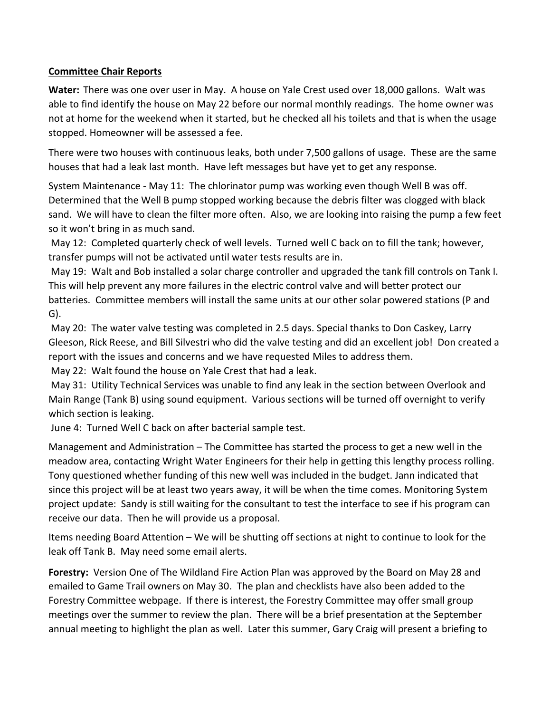## **Committee Chair Reports**

**Water:** There was one over user in May. A house on Yale Crest used over 18,000 gallons. Walt was able to find identify the house on May 22 before our normal monthly readings. The home owner was not at home for the weekend when it started, but he checked all his toilets and that is when the usage stopped. Homeowner will be assessed a fee.

There were two houses with continuous leaks, both under 7,500 gallons of usage. These are the same houses that had a leak last month. Have left messages but have yet to get any response.

System Maintenance - May 11: The chlorinator pump was working even though Well B was off. Determined that the Well B pump stopped working because the debris filter was clogged with black sand. We will have to clean the filter more often. Also, we are looking into raising the pump a few feet so it won't bring in as much sand.

May 12: Completed quarterly check of well levels. Turned well C back on to fill the tank; however, transfer pumps will not be activated until water tests results are in.

May 19: Walt and Bob installed a solar charge controller and upgraded the tank fill controls on Tank I. This will help prevent any more failures in the electric control valve and will better protect our batteries. Committee members will install the same units at our other solar powered stations (P and G).

May 20: The water valve testing was completed in 2.5 days. Special thanks to Don Caskey, Larry Gleeson, Rick Reese, and Bill Silvestri who did the valve testing and did an excellent job! Don created a report with the issues and concerns and we have requested Miles to address them.

May 22: Walt found the house on Yale Crest that had a leak.

May 31: Utility Technical Services was unable to find any leak in the section between Overlook and Main Range (Tank B) using sound equipment. Various sections will be turned off overnight to verify which section is leaking.

June 4: Turned Well C back on after bacterial sample test.

Management and Administration – The Committee has started the process to get a new well in the meadow area, contacting Wright Water Engineers for their help in getting this lengthy process rolling. Tony questioned whether funding of this new well was included in the budget. Jann indicated that since this project will be at least two years away, it will be when the time comes. Monitoring System project update: Sandy is still waiting for the consultant to test the interface to see if his program can receive our data. Then he will provide us a proposal.

Items needing Board Attention – We will be shutting off sections at night to continue to look for the leak off Tank B. May need some email alerts.

**Forestry:** Version One of The Wildland Fire Action Plan was approved by the Board on May 28 and emailed to Game Trail owners on May 30. The plan and checklists have also been added to the Forestry Committee webpage. If there is interest, the Forestry Committee may offer small group meetings over the summer to review the plan. There will be a brief presentation at the September annual meeting to highlight the plan as well. Later this summer, Gary Craig will present a briefing to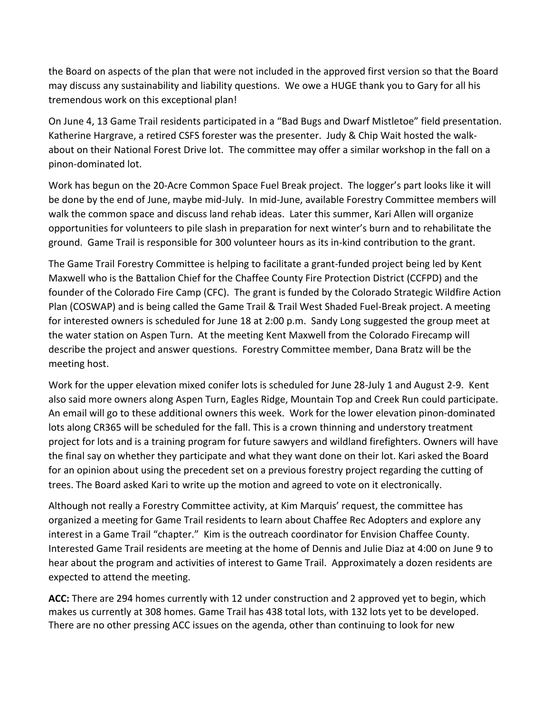the Board on aspects of the plan that were not included in the approved first version so that the Board may discuss any sustainability and liability questions. We owe a HUGE thank you to Gary for all his tremendous work on this exceptional plan!

On June 4, 13 Game Trail residents participated in a "Bad Bugs and Dwarf Mistletoe" field presentation. Katherine Hargrave, a retired CSFS forester was the presenter. Judy & Chip Wait hosted the walkabout on their National Forest Drive lot. The committee may offer a similar workshop in the fall on a pinon-dominated lot.

Work has begun on the 20-Acre Common Space Fuel Break project. The logger's part looks like it will be done by the end of June, maybe mid-July. In mid-June, available Forestry Committee members will walk the common space and discuss land rehab ideas. Later this summer, Kari Allen will organize opportunities for volunteers to pile slash in preparation for next winter's burn and to rehabilitate the ground. Game Trail is responsible for 300 volunteer hours as its in-kind contribution to the grant.

The Game Trail Forestry Committee is helping to facilitate a grant-funded project being led by Kent Maxwell who is the Battalion Chief for the Chaffee County Fire Protection District (CCFPD) and the founder of the Colorado Fire Camp (CFC). The grant is funded by the Colorado Strategic Wildfire Action Plan (COSWAP) and is being called the Game Trail & Trail West Shaded Fuel-Break project. A meeting for interested owners is scheduled for June 18 at 2:00 p.m. Sandy Long suggested the group meet at the water station on Aspen Turn. At the meeting Kent Maxwell from the Colorado Firecamp will describe the project and answer questions. Forestry Committee member, Dana Bratz will be the meeting host.

Work for the upper elevation mixed conifer lots is scheduled for June 28-July 1 and August 2-9. Kent also said more owners along Aspen Turn, Eagles Ridge, Mountain Top and Creek Run could participate. An email will go to these additional owners this week. Work for the lower elevation pinon-dominated lots along CR365 will be scheduled for the fall. This is a crown thinning and understory treatment project for lots and is a training program for future sawyers and wildland firefighters. Owners will have the final say on whether they participate and what they want done on their lot. Kari asked the Board for an opinion about using the precedent set on a previous forestry project regarding the cutting of trees. The Board asked Kari to write up the motion and agreed to vote on it electronically.

Although not really a Forestry Committee activity, at Kim Marquis' request, the committee has organized a meeting for Game Trail residents to learn about Chaffee Rec Adopters and explore any interest in a Game Trail "chapter." Kim is the outreach coordinator for Envision Chaffee County. Interested Game Trail residents are meeting at the home of Dennis and Julie Diaz at 4:00 on June 9 to hear about the program and activities of interest to Game Trail. Approximately a dozen residents are expected to attend the meeting.

ACC: There are 294 homes currently with 12 under construction and 2 approved yet to begin, which makes us currently at 308 homes. Game Trail has 438 total lots, with 132 lots yet to be developed. There are no other pressing ACC issues on the agenda, other than continuing to look for new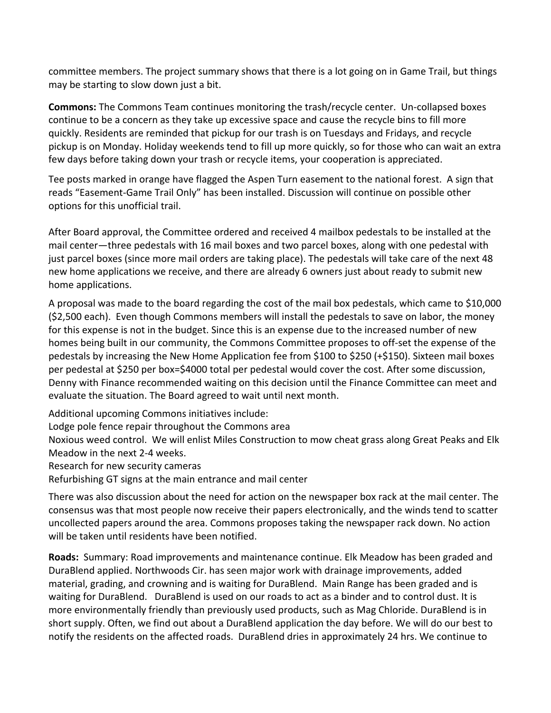committee members. The project summary shows that there is a lot going on in Game Trail, but things may be starting to slow down just a bit.

**Commons:** The Commons Team continues monitoring the trash/recycle center. Un-collapsed boxes continue to be a concern as they take up excessive space and cause the recycle bins to fill more quickly. Residents are reminded that pickup for our trash is on Tuesdays and Fridays, and recycle pickup is on Monday. Holiday weekends tend to fill up more quickly, so for those who can wait an extra few days before taking down your trash or recycle items, your cooperation is appreciated.

Tee posts marked in orange have flagged the Aspen Turn easement to the national forest. A sign that reads "Easement-Game Trail Only" has been installed. Discussion will continue on possible other options for this unofficial trail.

After Board approval, the Committee ordered and received 4 mailbox pedestals to be installed at the mail center—three pedestals with 16 mail boxes and two parcel boxes, along with one pedestal with just parcel boxes (since more mail orders are taking place). The pedestals will take care of the next 48 new home applications we receive, and there are already 6 owners just about ready to submit new home applications.

A proposal was made to the board regarding the cost of the mail box pedestals, which came to \$10,000 (\$2,500 each). Even though Commons members will install the pedestals to save on labor, the money for this expense is not in the budget. Since this is an expense due to the increased number of new homes being built in our community, the Commons Committee proposes to off-set the expense of the pedestals by increasing the New Home Application fee from \$100 to \$250 (+\$150). Sixteen mail boxes per pedestal at \$250 per box=\$4000 total per pedestal would cover the cost. After some discussion, Denny with Finance recommended waiting on this decision until the Finance Committee can meet and evaluate the situation. The Board agreed to wait until next month.

Additional upcoming Commons initiatives include:

Lodge pole fence repair throughout the Commons area

Noxious weed control. We will enlist Miles Construction to mow cheat grass along Great Peaks and Elk Meadow in the next 2-4 weeks.

Research for new security cameras

Refurbishing GT signs at the main entrance and mail center

There was also discussion about the need for action on the newspaper box rack at the mail center. The consensus was that most people now receive their papers electronically, and the winds tend to scatter uncollected papers around the area. Commons proposes taking the newspaper rack down. No action will be taken until residents have been notified.

**Roads:** Summary: Road improvements and maintenance continue. Elk Meadow has been graded and DuraBlend applied. Northwoods Cir. has seen major work with drainage improvements, added material, grading, and crowning and is waiting for DuraBlend. Main Range has been graded and is waiting for DuraBlend. DuraBlend is used on our roads to act as a binder and to control dust. It is more environmentally friendly than previously used products, such as Mag Chloride. DuraBlend is in short supply. Often, we find out about a DuraBlend application the day before. We will do our best to notify the residents on the affected roads. DuraBlend dries in approximately 24 hrs. We continue to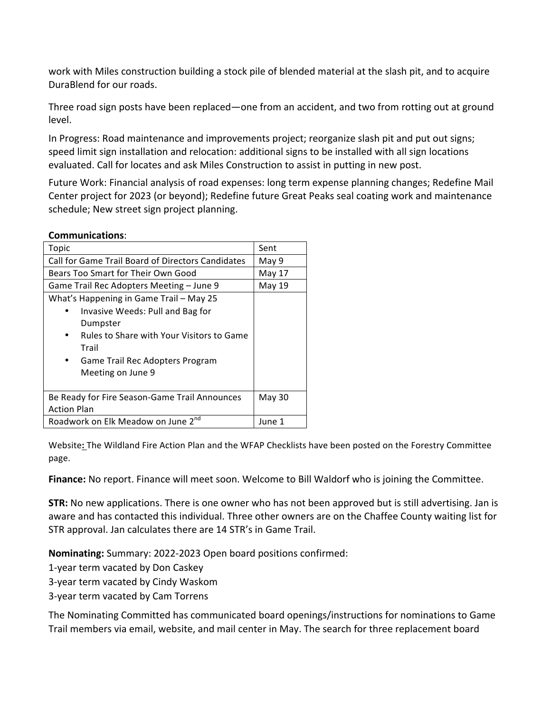work with Miles construction building a stock pile of blended material at the slash pit, and to acquire DuraBlend for our roads.

Three road sign posts have been replaced—one from an accident, and two from rotting out at ground level. 

In Progress: Road maintenance and improvements project; reorganize slash pit and put out signs; speed limit sign installation and relocation: additional signs to be installed with all sign locations evaluated. Call for locates and ask Miles Construction to assist in putting in new post.

Future Work: Financial analysis of road expenses: long term expense planning changes; Redefine Mail Center project for 2023 (or beyond); Redefine future Great Peaks seal coating work and maintenance schedule; New street sign project planning.

|--|

| Topic                                             | Sent          |
|---------------------------------------------------|---------------|
| Call for Game Trail Board of Directors Candidates | May 9         |
| Bears Too Smart for Their Own Good                | May 17        |
| Game Trail Rec Adopters Meeting - June 9          | May 19        |
| What's Happening in Game Trail - May 25           |               |
| Invasive Weeds: Pull and Bag for                  |               |
| Dumpster                                          |               |
| Rules to Share with Your Visitors to Game         |               |
| Trail                                             |               |
| Game Trail Rec Adopters Program<br>$\bullet$      |               |
| Meeting on June 9                                 |               |
|                                                   |               |
| Be Ready for Fire Season-Game Trail Announces     | <b>May 30</b> |
| <b>Action Plan</b>                                |               |
| Roadwork on Elk Meadow on June 2 <sup>nd</sup>    | June 1        |

Website: The Wildland Fire Action Plan and the WFAP Checklists have been posted on the Forestry Committee page.

**Finance:** No report. Finance will meet soon. Welcome to Bill Waldorf who is joining the Committee.

**STR:** No new applications. There is one owner who has not been approved but is still advertising. Jan is aware and has contacted this individual. Three other owners are on the Chaffee County waiting list for STR approval. Jan calculates there are 14 STR's in Game Trail.

Nominating: Summary: 2022-2023 Open board positions confirmed:

1-year term vacated by Don Caskey

3-year term vacated by Cindy Waskom

3-year term vacated by Cam Torrens

The Nominating Committed has communicated board openings/instructions for nominations to Game Trail members via email, website, and mail center in May. The search for three replacement board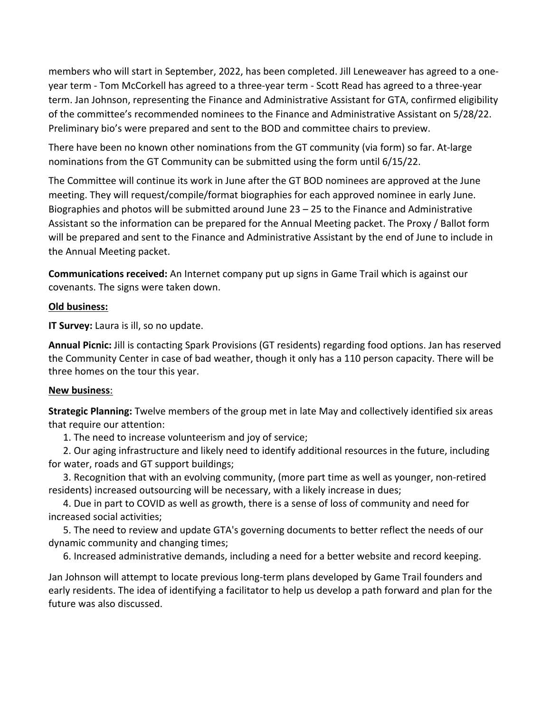members who will start in September, 2022, has been completed. Jill Leneweaver has agreed to a oneyear term - Tom McCorkell has agreed to a three-year term - Scott Read has agreed to a three-year term. Jan Johnson, representing the Finance and Administrative Assistant for GTA, confirmed eligibility of the committee's recommended nominees to the Finance and Administrative Assistant on 5/28/22. Preliminary bio's were prepared and sent to the BOD and committee chairs to preview.

There have been no known other nominations from the GT community (via form) so far. At-large nominations from the GT Community can be submitted using the form until 6/15/22.

The Committee will continue its work in June after the GT BOD nominees are approved at the June meeting. They will request/compile/format biographies for each approved nominee in early June. Biographies and photos will be submitted around June  $23 - 25$  to the Finance and Administrative Assistant so the information can be prepared for the Annual Meeting packet. The Proxy / Ballot form will be prepared and sent to the Finance and Administrative Assistant by the end of June to include in the Annual Meeting packet.

**Communications received:** An Internet company put up signs in Game Trail which is against our covenants. The signs were taken down.

## **Old business:**

**IT Survey:** Laura is ill, so no update.

**Annual Picnic:** Jill is contacting Spark Provisions (GT residents) regarding food options. Jan has reserved the Community Center in case of bad weather, though it only has a 110 person capacity. There will be three homes on the tour this year.

## **New business**:

**Strategic Planning:** Twelve members of the group met in late May and collectively identified six areas that require our attention:

1. The need to increase volunteerism and joy of service;

2. Our aging infrastructure and likely need to identify additional resources in the future, including for water, roads and GT support buildings;

3. Recognition that with an evolving community, (more part time as well as younger, non-retired residents) increased outsourcing will be necessary, with a likely increase in dues;

4. Due in part to COVID as well as growth, there is a sense of loss of community and need for increased social activities:

5. The need to review and update GTA's governing documents to better reflect the needs of our dynamic community and changing times;

6. Increased administrative demands, including a need for a better website and record keeping.

Jan Johnson will attempt to locate previous long-term plans developed by Game Trail founders and early residents. The idea of identifying a facilitator to help us develop a path forward and plan for the future was also discussed.